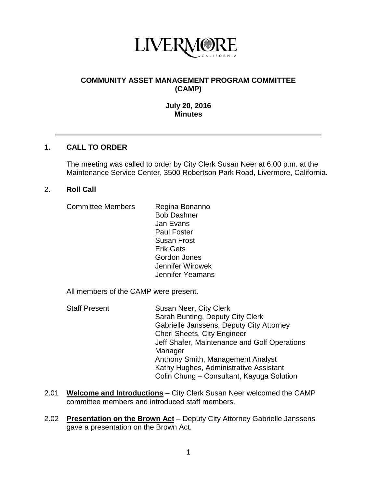

# **COMMUNITY ASSET MANAGEMENT PROGRAM COMMITTEE (CAMP)**

## **July 20, 2016 Minutes**

# **1. CALL TO ORDER**

The meeting was called to order by City Clerk Susan Neer at 6:00 p.m. at the Maintenance Service Center, 3500 Robertson Park Road, Livermore, California.

# 2. **Roll Call**

Committee Members Regina Bonanno

Bob Dashner Jan Evans Paul Foster Susan Frost Erik Gets Gordon Jones Jennifer Wirowek Jennifer Yeamans

All members of the CAMP were present.

- Staff Present Susan Neer, City Clerk Sarah Bunting, Deputy City Clerk Gabrielle Janssens, Deputy City Attorney Cheri Sheets, City Engineer Jeff Shafer, Maintenance and Golf Operations Manager Anthony Smith, Management Analyst Kathy Hughes, Administrative Assistant Colin Chung – Consultant, Kayuga Solution
- 2.01 **Welcome and Introductions** City Clerk Susan Neer welcomed the CAMP committee members and introduced staff members.
- 2.02 **Presentation on the Brown Act** Deputy City Attorney Gabrielle Janssens gave a presentation on the Brown Act.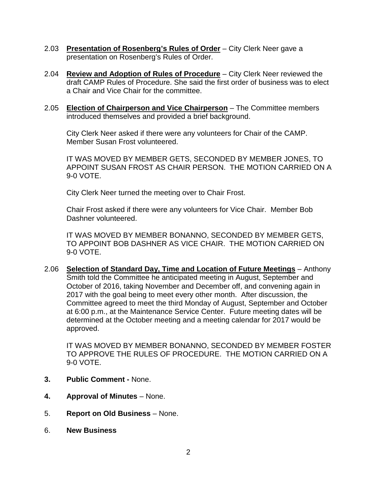- 2.03 **Presentation of Rosenberg's Rules of Order** City Clerk Neer gave a presentation on Rosenberg's Rules of Order.
- 2.04 **Review and Adoption of Rules of Procedure** City Clerk Neer reviewed the draft CAMP Rules of Procedure. She said the first order of business was to elect a Chair and Vice Chair for the committee.
- 2.05 **Election of Chairperson and Vice Chairperson** The Committee members introduced themselves and provided a brief background.

City Clerk Neer asked if there were any volunteers for Chair of the CAMP. Member Susan Frost volunteered.

IT WAS MOVED BY MEMBER GETS, SECONDED BY MEMBER JONES, TO APPOINT SUSAN FROST AS CHAIR PERSON. THE MOTION CARRIED ON A 9-0 VOTE.

City Clerk Neer turned the meeting over to Chair Frost.

Chair Frost asked if there were any volunteers for Vice Chair. Member Bob Dashner volunteered.

IT WAS MOVED BY MEMBER BONANNO, SECONDED BY MEMBER GETS, TO APPOINT BOB DASHNER AS VICE CHAIR. THE MOTION CARRIED ON 9-0 VOTE.

2.06 **Selection of Standard Day, Time and Location of Future Meetings** – Anthony Smith told the Committee he anticipated meeting in August, September and October of 2016, taking November and December off, and convening again in 2017 with the goal being to meet every other month. After discussion, the Committee agreed to meet the third Monday of August, September and October at 6:00 p.m., at the Maintenance Service Center. Future meeting dates will be determined at the October meeting and a meeting calendar for 2017 would be approved.

IT WAS MOVED BY MEMBER BONANNO, SECONDED BY MEMBER FOSTER TO APPROVE THE RULES OF PROCEDURE. THE MOTION CARRIED ON A 9-0 VOTE.

- **3. Public Comment -** None.
- **4. Approval of Minutes** None.
- 5. **Report on Old Business** None.
- 6. **New Business**